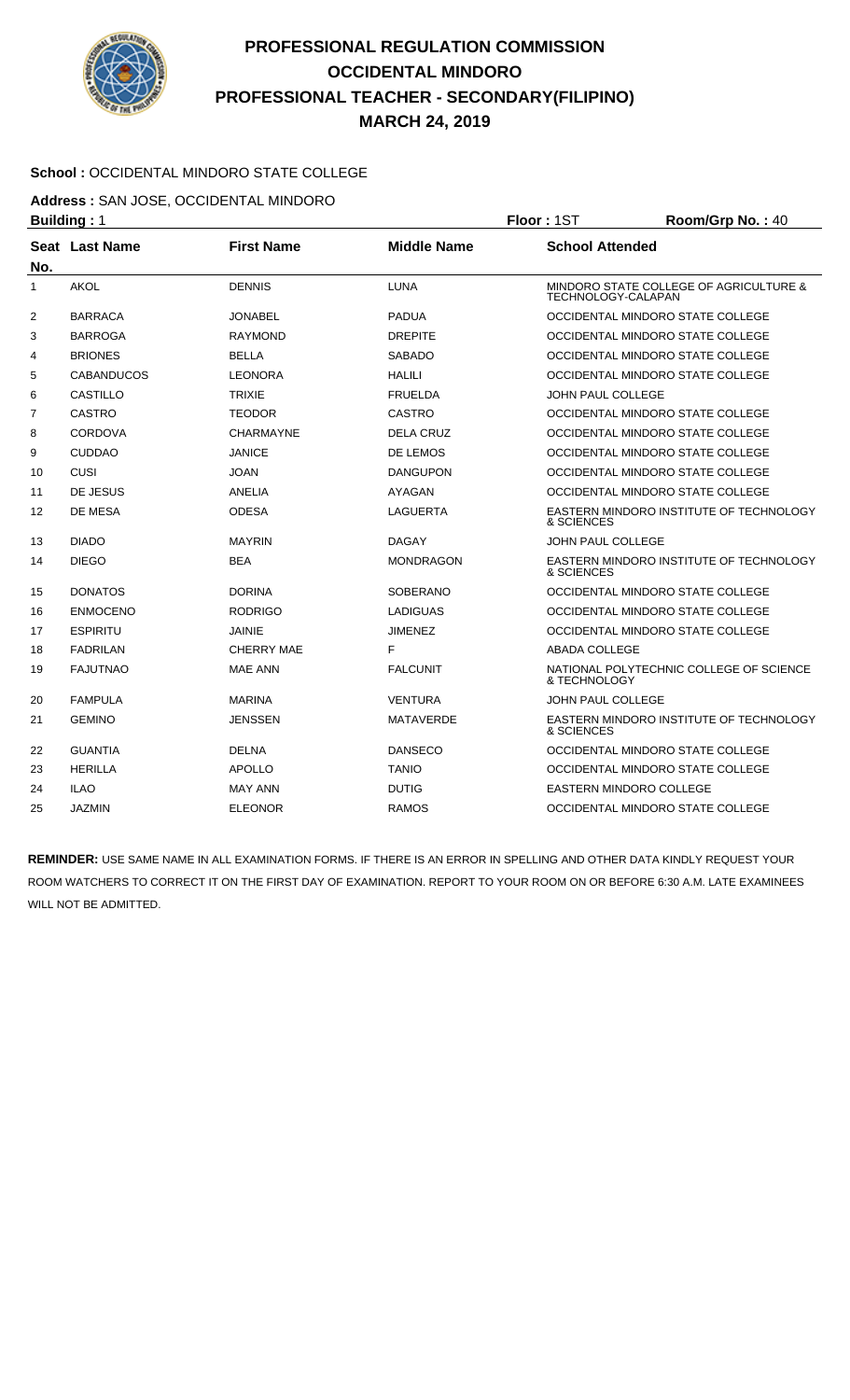

## **PROFESSIONAL REGULATION COMMISSION OCCIDENTAL MINDORO PROFESSIONAL TEACHER - SECONDARY(FILIPINO) MARCH 24, 2019**

## **School :** OCCIDENTAL MINDORO STATE COLLEGE

**Address :** SAN JOSE, OCCIDENTAL MINDORO

|              | <b>Building: 1</b> |                   | Floor: 1ST         | Room/Grp No.: 40               |                                         |  |
|--------------|--------------------|-------------------|--------------------|--------------------------------|-----------------------------------------|--|
| No.          | Seat Last Name     | <b>First Name</b> | <b>Middle Name</b> |                                | <b>School Attended</b>                  |  |
| $\mathbf{1}$ | <b>AKOL</b>        | <b>DENNIS</b>     | <b>LUNA</b>        | TECHNOLOGY-CALAPAN             | MINDORO STATE COLLEGE OF AGRICULTURE &  |  |
| 2            | <b>BARRACA</b>     | <b>JONABEL</b>    | <b>PADUA</b>       |                                | OCCIDENTAL MINDORO STATE COLLEGE        |  |
| 3            | <b>BARROGA</b>     | <b>RAYMOND</b>    | <b>DREPITE</b>     |                                | OCCIDENTAL MINDORO STATE COLLEGE        |  |
| 4            | <b>BRIONES</b>     | <b>BELLA</b>      | <b>SABADO</b>      |                                | OCCIDENTAL MINDORO STATE COLLEGE        |  |
| 5            | <b>CABANDUCOS</b>  | <b>LEONORA</b>    | HALILI             |                                | OCCIDENTAL MINDORO STATE COLLEGE        |  |
| 6            | <b>CASTILLO</b>    | <b>TRIXIE</b>     | <b>FRUELDA</b>     | <b>JOHN PAUL COLLEGE</b>       |                                         |  |
| 7            | <b>CASTRO</b>      | <b>TEODOR</b>     | CASTRO             |                                | OCCIDENTAL MINDORO STATE COLLEGE        |  |
| 8            | <b>CORDOVA</b>     | <b>CHARMAYNE</b>  | DELA CRUZ          |                                | OCCIDENTAL MINDORO STATE COLLEGE        |  |
| 9            | <b>CUDDAO</b>      | <b>JANICE</b>     | DE LEMOS           |                                | OCCIDENTAL MINDORO STATE COLLEGE        |  |
| 10           | <b>CUSI</b>        | <b>JOAN</b>       | <b>DANGUPON</b>    |                                | OCCIDENTAL MINDORO STATE COLLEGE        |  |
| 11           | DE JESUS           | <b>ANELIA</b>     | AYAGAN             |                                | OCCIDENTAL MINDORO STATE COLLEGE        |  |
| 12           | DE MESA            | <b>ODESA</b>      | <b>LAGUERTA</b>    | & SCIENCES                     | EASTERN MINDORO INSTITUTE OF TECHNOLOGY |  |
| 13           | <b>DIADO</b>       | <b>MAYRIN</b>     | DAGAY              | <b>JOHN PAUL COLLEGE</b>       |                                         |  |
| 14           | <b>DIEGO</b>       | <b>BEA</b>        | <b>MONDRAGON</b>   | & SCIENCES                     | EASTERN MINDORO INSTITUTE OF TECHNOLOGY |  |
| 15           | <b>DONATOS</b>     | <b>DORINA</b>     | SOBERANO           |                                | OCCIDENTAL MINDORO STATE COLLEGE        |  |
| 16           | <b>ENMOCENO</b>    | <b>RODRIGO</b>    | <b>LADIGUAS</b>    |                                | OCCIDENTAL MINDORO STATE COLLEGE        |  |
| 17           | <b>ESPIRITU</b>    | JAINIE            | <b>JIMENEZ</b>     |                                | OCCIDENTAL MINDORO STATE COLLEGE        |  |
| 18           | <b>FADRILAN</b>    | <b>CHERRY MAE</b> | F                  | ABADA COLLEGE                  |                                         |  |
| 19           | <b>FAJUTNAO</b>    | <b>MAE ANN</b>    | <b>FALCUNIT</b>    | & TECHNOLOGY                   | NATIONAL POLYTECHNIC COLLEGE OF SCIENCE |  |
| 20           | <b>FAMPULA</b>     | <b>MARINA</b>     | <b>VENTURA</b>     | <b>JOHN PAUL COLLEGE</b>       |                                         |  |
| 21           | <b>GEMINO</b>      | JENSSEN           | <b>MATAVERDE</b>   | & SCIENCES                     | EASTERN MINDORO INSTITUTE OF TECHNOLOGY |  |
| 22           | <b>GUANTIA</b>     | <b>DELNA</b>      | <b>DANSECO</b>     |                                | OCCIDENTAL MINDORO STATE COLLEGE        |  |
| 23           | <b>HERILLA</b>     | <b>APOLLO</b>     | <b>TANIO</b>       |                                | OCCIDENTAL MINDORO STATE COLLEGE        |  |
| 24           | <b>ILAO</b>        | <b>MAY ANN</b>    | <b>DUTIG</b>       | <b>EASTERN MINDORO COLLEGE</b> |                                         |  |
| 25           | <b>JAZMIN</b>      | <b>ELEONOR</b>    | <b>RAMOS</b>       |                                | OCCIDENTAL MINDORO STATE COLLEGE        |  |

**REMINDER:** USE SAME NAME IN ALL EXAMINATION FORMS. IF THERE IS AN ERROR IN SPELLING AND OTHER DATA KINDLY REQUEST YOUR ROOM WATCHERS TO CORRECT IT ON THE FIRST DAY OF EXAMINATION. REPORT TO YOUR ROOM ON OR BEFORE 6:30 A.M. LATE EXAMINEES WILL NOT BE ADMITTED.